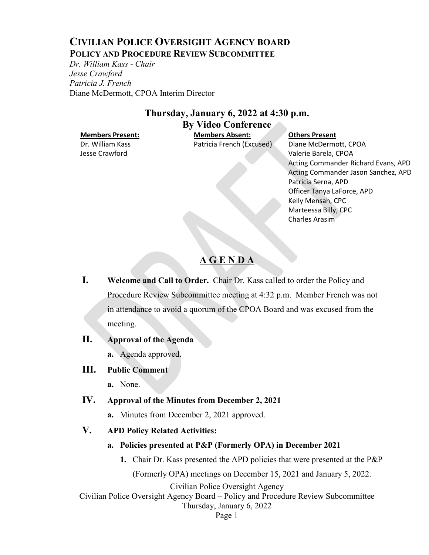# **CIVILIAN POLICE OVERSIGHT AGENCY BOARD POLICY AND PROCEDURE REVIEW SUBCOMMITTEE**

*Dr. William Kass - Chair Jesse Crawford Patricia J. French* Diane McDermott, CPOA Interim Director

# **Thursday, January 6, 2022 at 4:30 p.m. By Video Conference**

Dr. William Kass Jesse Crawford

**Members Present: Members Absent: Others Present** Patricia French (Excused) Diane McDermott, CPOA

Valerie Barela, CPOA Acting Commander Richard Evans, APD Acting Commander Jason Sanchez, APD Patricia Serna, APD Officer Tanya LaForce, APD Kelly Mensah, CPC Marteessa Billy, CPC Charles Arasim

# **A G E N D A**

**I. Welcome and Call to Order.** Chair Dr. Kass called to order the Policy and Procedure Review Subcommittee meeting at 4:32 p.m. Member French was not in attendance to avoid a quorum of the CPOA Board and was excused from the meeting.

## **II. Approval of the Agenda**

**a.** Agenda approved.

## **III. Public Comment**

**a.** None.

## **IV. Approval of the Minutes from December 2, 2021**

**a.** Minutes from December 2, 2021 approved.

## **V. APD Policy Related Activities:**

- **a. Policies presented at P&P (Formerly OPA) in December 2021**
	- **1.** Chair Dr. Kass presented the APD policies that were presented at the P&P

(Formerly OPA) meetings on December 15, 2021 and January 5, 2022.

Civilian Police Oversight Agency

Civilian Police Oversight Agency Board – Policy and Procedure Review Subcommittee

Thursday, January 6, 2022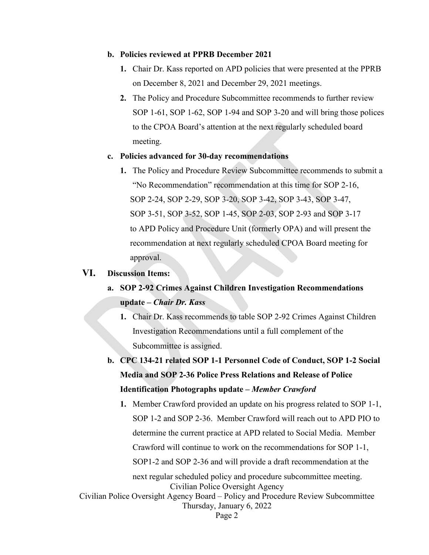### **b. Policies reviewed at PPRB December 2021**

- **1.** Chair Dr. Kass reported on APD policies that were presented at the PPRB on December 8, 2021 and December 29, 2021 meetings.
- **2.** The Policy and Procedure Subcommittee recommends to further review SOP 1-61, SOP 1-62, SOP 1-94 and SOP 3-20 and will bring those polices to the CPOA Board's attention at the next regularly scheduled board meeting.

### **c. Policies advanced for 30-day recommendations**

**1.** The Policy and Procedure Review Subcommittee recommends to submit a "No Recommendation" recommendation at this time for SOP 2-16, SOP 2-24, SOP 2-29, SOP 3-20, SOP 3-42, SOP 3-43, SOP 3-47, SOP 3-51, SOP 3-52, SOP 1-45, SOP 2-03, SOP 2-93 and SOP 3-17 to APD Policy and Procedure Unit (formerly OPA) and will present the recommendation at next regularly scheduled CPOA Board meeting for approval.

## **VI. Discussion Items:**

- **a. SOP 2-92 Crimes Against Children Investigation Recommendations update –** *Chair Dr. Kass*
	- **1.** Chair Dr. Kass recommends to table SOP 2-92 Crimes Against Children Investigation Recommendations until a full complement of the Subcommittee is assigned.
- **b. CPC 134-21 related SOP 1-1 Personnel Code of Conduct, SOP 1-2 Social Media and SOP 2-36 Police Press Relations and Release of Police Identification Photographs update –** *Member Crawford*
- Civilian Police Oversight Agency Civilian Police Oversight Agency Board – Policy and Procedure Review Subcommittee Thursday, January 6, 2022 Page 2 **1.** Member Crawford provided an update on his progress related to SOP 1-1, SOP 1-2 and SOP 2-36. Member Crawford will reach out to APD PIO to determine the current practice at APD related to Social Media. Member Crawford will continue to work on the recommendations for SOP 1-1, SOP1-2 and SOP 2-36 and will provide a draft recommendation at the next regular scheduled policy and procedure subcommittee meeting.